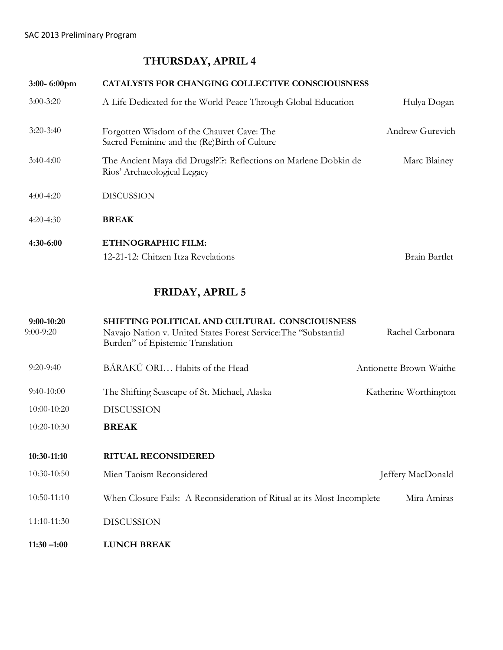# **THURSDAY, APRIL 4**

| 3:00-6:00pm   | <b>CATALYSTS FOR CHANGING COLLECTIVE CONSCIOUSNESS</b>                                          |                 |
|---------------|-------------------------------------------------------------------------------------------------|-----------------|
| $3:00 - 3:20$ | A Life Dedicated for the World Peace Through Global Education                                   | Hulya Dogan     |
| $3:20 - 3:40$ | Forgotten Wisdom of the Chauvet Cave: The<br>Sacred Feminine and the (Re)Birth of Culture       | Andrew Gurevich |
| $3:40-4:00$   | The Ancient Maya did Drugs!?!?: Reflections on Marlene Dobkin de<br>Rios' Archaeological Legacy | Marc Blainey    |
| $4:00-4:20$   | <b>DISCUSSION</b>                                                                               |                 |
| $4:20-4:30$   | <b>BREAK</b>                                                                                    |                 |
| $4:30-6:00$   | ETHNOGRAPHIC FILM:                                                                              |                 |
|               | 12-21-12: Chitzen Itza Revelations                                                              | Brain Bartlet   |

# **FRIDAY, APRIL 5**

| $9:00-10:20$<br>$9:00-9:20$ | SHIFTING POLITICAL AND CULTURAL CONSCIOUSNESS<br>Navajo Nation v. United States Forest Service: The "Substantial<br>Burden" of Epistemic Translation | Rachel Carbonara        |
|-----------------------------|------------------------------------------------------------------------------------------------------------------------------------------------------|-------------------------|
| $9:20-9:40$                 | BÁRAKÚ ORI Habits of the Head                                                                                                                        | Antionette Brown-Waithe |
| $9:40-10:00$                | The Shifting Seascape of St. Michael, Alaska                                                                                                         | Katherine Worthington   |
| 10:00-10:20                 | <b>DISCUSSION</b>                                                                                                                                    |                         |
| 10:20-10:30                 | <b>BREAK</b>                                                                                                                                         |                         |
| 10:30-11:10                 | <b>RITUAL RECONSIDERED</b>                                                                                                                           |                         |
| $10:30-10:50$               | Mien Taoism Reconsidered                                                                                                                             | Jeffery MacDonald       |
| 10:50-11:10                 | When Closure Fails: A Reconsideration of Ritual at its Most Incomplete                                                                               | Mira Amiras             |
| 11:10-11:30                 | <b>DISCUSSION</b>                                                                                                                                    |                         |
| $11:30 - 1:00$              | <b>LUNCH BREAK</b>                                                                                                                                   |                         |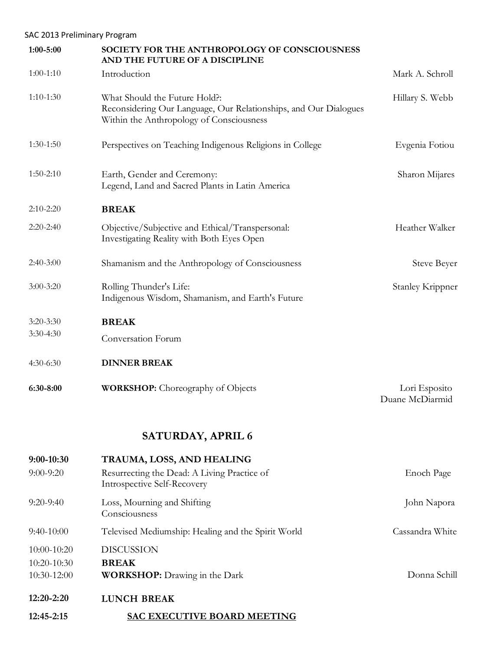## SAC 2013 Preliminary Program

| $1:00 - 5:00$ | SOCIETY FOR THE ANTHROPOLOGY OF CONSCIOUSNESS<br>AND THE FUTURE OF A DISCIPLINE                                                               |                                  |
|---------------|-----------------------------------------------------------------------------------------------------------------------------------------------|----------------------------------|
| $1:00-1:10$   | Introduction                                                                                                                                  | Mark A. Schroll                  |
| $1:10-1:30$   | What Should the Future Hold?:<br>Reconsidering Our Language, Our Relationships, and Our Dialogues<br>Within the Anthropology of Consciousness | Hillary S. Webb                  |
| $1:30-1:50$   | Perspectives on Teaching Indigenous Religions in College                                                                                      | Evgenia Fotiou                   |
| $1:50-2:10$   | Earth, Gender and Ceremony:<br>Legend, Land and Sacred Plants in Latin America                                                                | Sharon Mijares                   |
| $2:10-2:20$   | <b>BREAK</b>                                                                                                                                  |                                  |
| $2:20-2:40$   | Objective/Subjective and Ethical/Transpersonal:<br>Investigating Reality with Both Eyes Open                                                  | Heather Walker                   |
| $2:40-3:00$   | Shamanism and the Anthropology of Consciousness                                                                                               | <b>Steve Beyer</b>               |
| $3:00 - 3:20$ | Rolling Thunder's Life:<br>Indigenous Wisdom, Shamanism, and Earth's Future                                                                   | <b>Stanley Krippner</b>          |
| $3:20 - 3:30$ | <b>BREAK</b>                                                                                                                                  |                                  |
| $3:30-4:30$   | Conversation Forum                                                                                                                            |                                  |
| $4:30-6:30$   | <b>DINNER BREAK</b>                                                                                                                           |                                  |
| 6:30-8:00     | <b>WORKSHOP:</b> Choreography of Objects                                                                                                      | Lori Esposito<br>Duane McDiarmid |
|               | <b>SATURDAY, APRIL 6</b>                                                                                                                      |                                  |
| $9:00-10:30$  | TRAUMA, LOSS, AND HEALING                                                                                                                     |                                  |
| $9:00 - 9:20$ | Resurrecting the Dead: A Living Practice of<br>Introspective Self-Recovery                                                                    | Enoch Page                       |
| $9:20-9:40$   | Loss, Mourning and Shifting<br>Consciousness                                                                                                  | John Napora                      |
| $9:40-10:00$  | Televised Mediumship: Healing and the Spirit World                                                                                            | Cassandra White                  |
| 10:00-10:20   | <b>DISCUSSION</b>                                                                                                                             |                                  |

10:20-10:30 **BREAK**

10:30-12:00 **WORKSHOP:** Drawing in the Dark Donna Schill

**12:20-2:20 LUNCH BREAK**

**12:45-2:15 SAC EXECUTIVE BOARD MEETING**